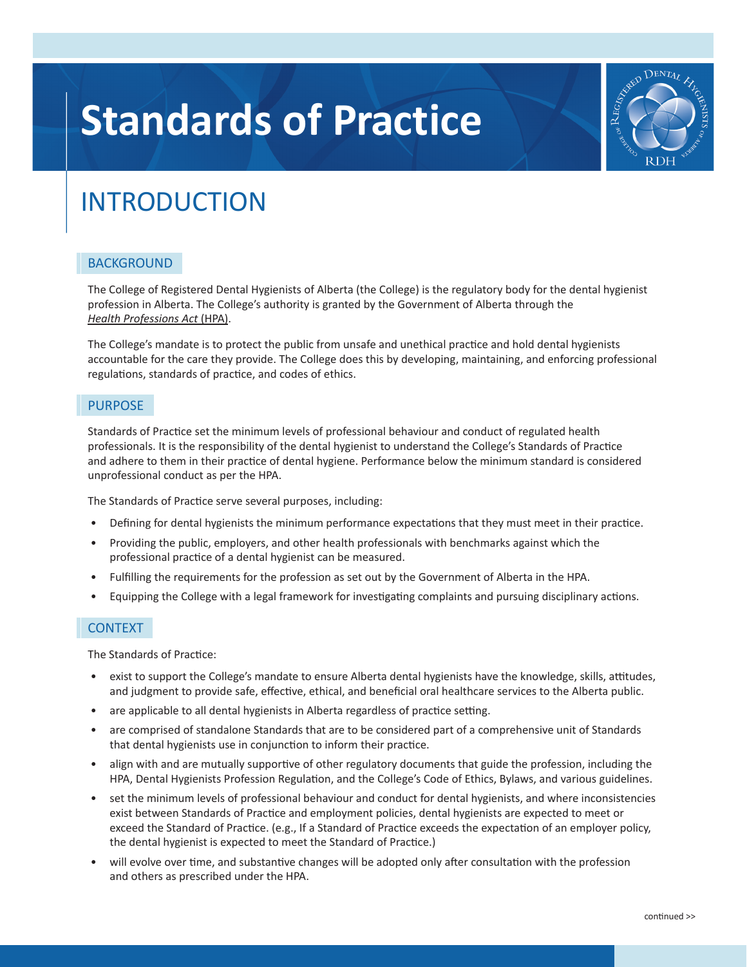# **Standards of Practice**



# INTRODUCTION

# **BACKGROUND**

The College of Registered Dental Hygienists of Alberta (the College) is the regulatory body for the dental hygienist profession in Alberta. The College's authority is granted by the Government of Alberta through the *[Health Professions Act](https://www.qp.alberta.ca/documents/Acts/h07.pdf)* (HPA).

The College's mandate is to protect the public from unsafe and unethical practice and hold dental hygienists accountable for the care they provide. The College does this by developing, maintaining, and enforcing professional regulations, standards of practice, and codes of ethics.

# **PURPOSE**

Standards of Practice set the minimum levels of professional behaviour and conduct of regulated health professionals. It is the responsibility of the dental hygienist to understand the College's Standards of Practice and adhere to them in their practice of dental hygiene. Performance below the minimum standard is considered unprofessional conduct as per the HPA.

The Standards of Practice serve several purposes, including:

- Defining for dental hygienists the minimum performance expectations that they must meet in their practice.
- Providing the public, employers, and other health professionals with benchmarks against which the professional practice of a dental hygienist can be measured.
- Fulfilling the requirements for the profession as set out by the Government of Alberta in the HPA.
- Equipping the College with a legal framework for investigating complaints and pursuing disciplinary actions.

# **CONTEXT**

The Standards of Practice:

- exist to support the College's mandate to ensure Alberta dental hygienists have the knowledge, skills, attitudes, and judgment to provide safe, effective, ethical, and beneficial oral healthcare services to the Alberta public.
- are applicable to all dental hygienists in Alberta regardless of practice setting.
- are comprised of standalone Standards that are to be considered part of a comprehensive unit of Standards that dental hygienists use in conjunction to inform their practice.
- align with and are mutually supportive of other regulatory documents that guide the profession, including the HPA, Dental Hygienists Profession Regulation, and the College's Code of Ethics, Bylaws, and various guidelines.
- set the minimum levels of professional behaviour and conduct for dental hygienists, and where inconsistencies exist between Standards of Practice and employment policies, dental hygienists are expected to meet or exceed the Standard of Practice. (e.g., If a Standard of Practice exceeds the expectation of an employer policy, the dental hygienist is expected to meet the Standard of Practice.)
- will evolve over time, and substantive changes will be adopted only after consultation with the profession and others as prescribed under the HPA.